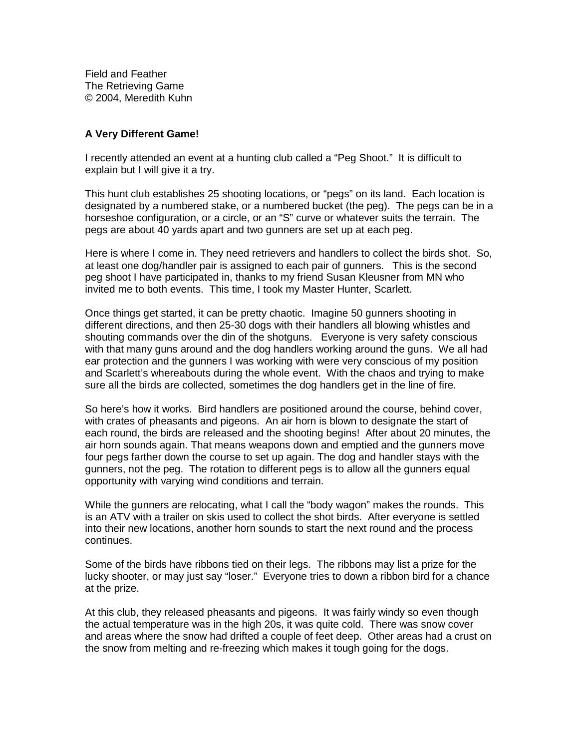Field and Feather The Retrieving Game © 2004, Meredith Kuhn

## **A Very Different Game!**

I recently attended an event at a hunting club called a "Peg Shoot." It is difficult to explain but I will give it a try.

This hunt club establishes 25 shooting locations, or "pegs" on its land. Each location is designated by a numbered stake, or a numbered bucket (the peg). The pegs can be in a horseshoe configuration, or a circle, or an "S" curve or whatever suits the terrain. The pegs are about 40 yards apart and two gunners are set up at each peg.

Here is where I come in. They need retrievers and handlers to collect the birds shot. So, at least one dog/handler pair is assigned to each pair of gunners. This is the second peg shoot I have participated in, thanks to my friend Susan Kleusner from MN who invited me to both events. This time, I took my Master Hunter, Scarlett.

Once things get started, it can be pretty chaotic. Imagine 50 gunners shooting in different directions, and then 25-30 dogs with their handlers all blowing whistles and shouting commands over the din of the shotguns. Everyone is very safety conscious with that many guns around and the dog handlers working around the guns. We all had ear protection and the gunners I was working with were very conscious of my position and Scarlett's whereabouts during the whole event. With the chaos and trying to make sure all the birds are collected, sometimes the dog handlers get in the line of fire.

So here's how it works. Bird handlers are positioned around the course, behind cover, with crates of pheasants and pigeons. An air horn is blown to designate the start of each round, the birds are released and the shooting begins! After about 20 minutes, the air horn sounds again. That means weapons down and emptied and the gunners move four pegs farther down the course to set up again. The dog and handler stays with the gunners, not the peg. The rotation to different pegs is to allow all the gunners equal opportunity with varying wind conditions and terrain.

While the gunners are relocating, what I call the "body wagon" makes the rounds. This is an ATV with a trailer on skis used to collect the shot birds. After everyone is settled into their new locations, another horn sounds to start the next round and the process continues.

Some of the birds have ribbons tied on their legs. The ribbons may list a prize for the lucky shooter, or may just say "loser." Everyone tries to down a ribbon bird for a chance at the prize.

At this club, they released pheasants and pigeons. It was fairly windy so even though the actual temperature was in the high 20s, it was quite cold. There was snow cover and areas where the snow had drifted a couple of feet deep. Other areas had a crust on the snow from melting and re-freezing which makes it tough going for the dogs.